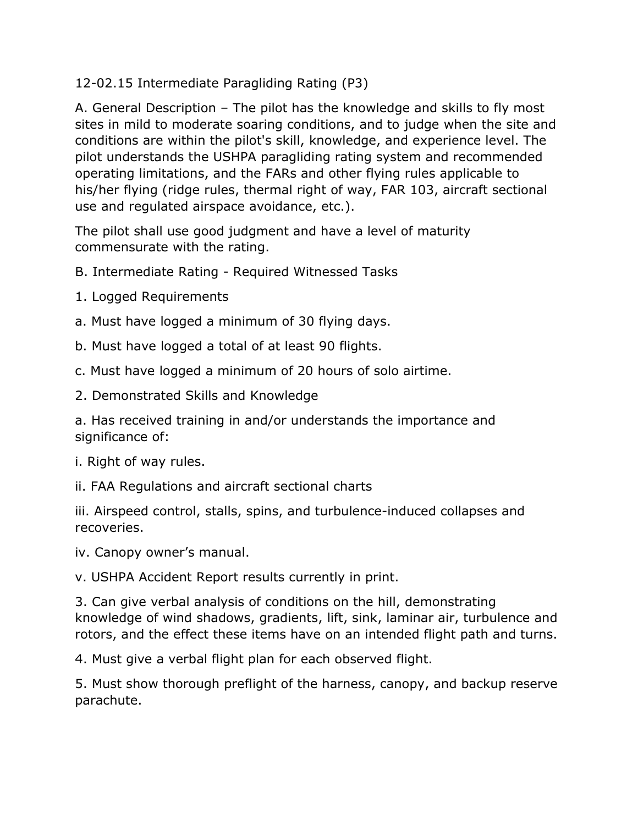12-02.15 Intermediate Paragliding Rating (P3)

A. General Description – The pilot has the knowledge and skills to fly most sites in mild to moderate soaring conditions, and to judge when the site and conditions are within the pilot's skill, knowledge, and experience level. The pilot understands the USHPA paragliding rating system and recommended operating limitations, and the FARs and other flying rules applicable to his/her flying (ridge rules, thermal right of way, FAR 103, aircraft sectional use and regulated airspace avoidance, etc.).

The pilot shall use good judgment and have a level of maturity commensurate with the rating.

B. Intermediate Rating - Required Witnessed Tasks

- 1. Logged Requirements
- a. Must have logged a minimum of 30 flying days.
- b. Must have logged a total of at least 90 flights.
- c. Must have logged a minimum of 20 hours of solo airtime.
- 2. Demonstrated Skills and Knowledge

a. Has received training in and/or understands the importance and significance of:

i. Right of way rules.

ii. FAA Regulations and aircraft sectional charts

iii. Airspeed control, stalls, spins, and turbulence-induced collapses and recoveries.

iv. Canopy owner's manual.

v. USHPA Accident Report results currently in print.

3. Can give verbal analysis of conditions on the hill, demonstrating knowledge of wind shadows, gradients, lift, sink, laminar air, turbulence and rotors, and the effect these items have on an intended flight path and turns.

4. Must give a verbal flight plan for each observed flight.

5. Must show thorough preflight of the harness, canopy, and backup reserve parachute.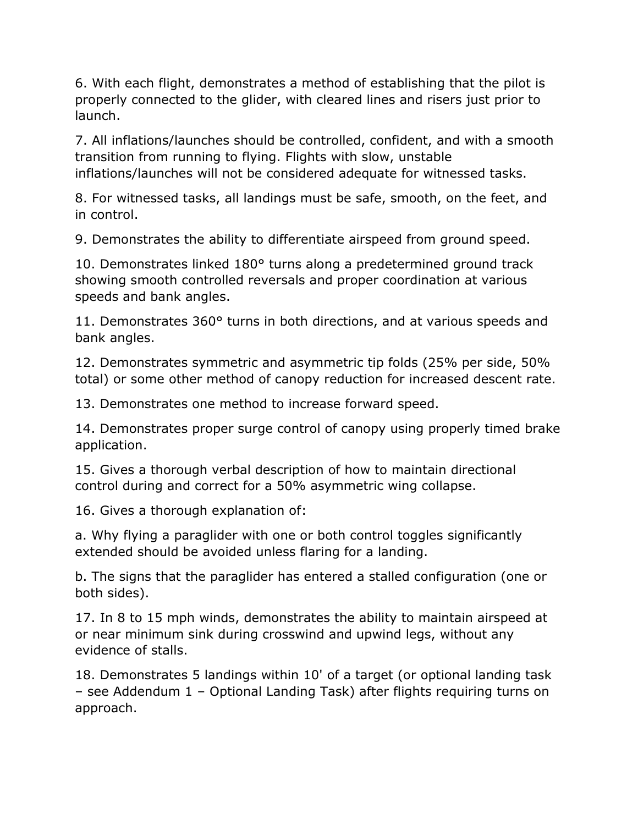6. With each flight, demonstrates a method of establishing that the pilot is properly connected to the glider, with cleared lines and risers just prior to launch.

7. All inflations/launches should be controlled, confident, and with a smooth transition from running to flying. Flights with slow, unstable inflations/launches will not be considered adequate for witnessed tasks.

8. For witnessed tasks, all landings must be safe, smooth, on the feet, and in control.

9. Demonstrates the ability to differentiate airspeed from ground speed.

10. Demonstrates linked 180° turns along a predetermined ground track showing smooth controlled reversals and proper coordination at various speeds and bank angles.

11. Demonstrates 360° turns in both directions, and at various speeds and bank angles.

12. Demonstrates symmetric and asymmetric tip folds (25% per side, 50% total) or some other method of canopy reduction for increased descent rate.

13. Demonstrates one method to increase forward speed.

14. Demonstrates proper surge control of canopy using properly timed brake application.

15. Gives a thorough verbal description of how to maintain directional control during and correct for a 50% asymmetric wing collapse.

16. Gives a thorough explanation of:

a. Why flying a paraglider with one or both control toggles significantly extended should be avoided unless flaring for a landing.

b. The signs that the paraglider has entered a stalled configuration (one or both sides).

17. In 8 to 15 mph winds, demonstrates the ability to maintain airspeed at or near minimum sink during crosswind and upwind legs, without any evidence of stalls.

18. Demonstrates 5 landings within 10' of a target (or optional landing task – see Addendum 1 – Optional Landing Task) after flights requiring turns on approach.